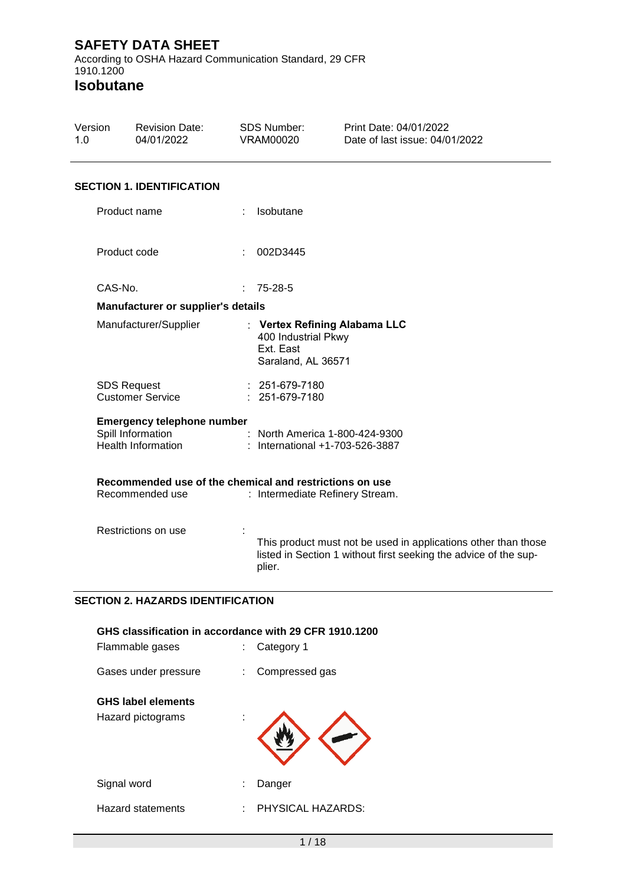According to OSHA Hazard Communication Standard, 29 CFR 1910.1200

| Version<br>1.0 | <b>Revision Date:</b><br>04/01/2022                                                 | <b>SDS Number:</b><br>VRAM00020                        | Print Date: 04/01/2022<br>Date of last issue: 04/01/2022                                                                           |  |
|----------------|-------------------------------------------------------------------------------------|--------------------------------------------------------|------------------------------------------------------------------------------------------------------------------------------------|--|
|                | <b>SECTION 1. IDENTIFICATION</b>                                                    |                                                        |                                                                                                                                    |  |
|                | Product name                                                                        | Isobutane                                              |                                                                                                                                    |  |
|                | Product code                                                                        | 002D3445<br>$\mathbb{R}^n$                             |                                                                                                                                    |  |
|                | CAS-No.                                                                             | 75-28-5                                                |                                                                                                                                    |  |
|                | Manufacturer or supplier's details                                                  |                                                        |                                                                                                                                    |  |
|                | Manufacturer/Supplier                                                               | 400 Industrial Pkwy<br>Ext. East<br>Saraland, AL 36571 | : Vertex Refining Alabama LLC                                                                                                      |  |
|                | <b>SDS Request</b><br><b>Customer Service</b>                                       | : 251-679-7180<br>: 251-679-7180                       |                                                                                                                                    |  |
|                | <b>Emergency telephone number</b><br>Spill Information<br><b>Health Information</b> |                                                        | : North America 1-800-424-9300<br>: International +1-703-526-3887                                                                  |  |
|                | Recommended use of the chemical and restrictions on use<br>Recommended use          |                                                        | : Intermediate Refinery Stream.                                                                                                    |  |
|                | Restrictions on use                                                                 | plier.                                                 | This product must not be used in applications other than those<br>listed in Section 1 without first seeking the advice of the sup- |  |
|                | <b>SECTION 2. HAZARDS IDENTIFICATION</b>                                            |                                                        |                                                                                                                                    |  |

| GHS classification in accordance with 29 CFR 1910.1200<br>Flammable gases |   | Category 1        |
|---------------------------------------------------------------------------|---|-------------------|
| Gases under pressure                                                      |   | Compressed gas    |
| <b>GHS label elements</b><br>Hazard pictograms                            |   |                   |
| Signal word                                                               |   | Danger            |
| Hazard statements                                                         | ÷ | PHYSICAL HAZARDS: |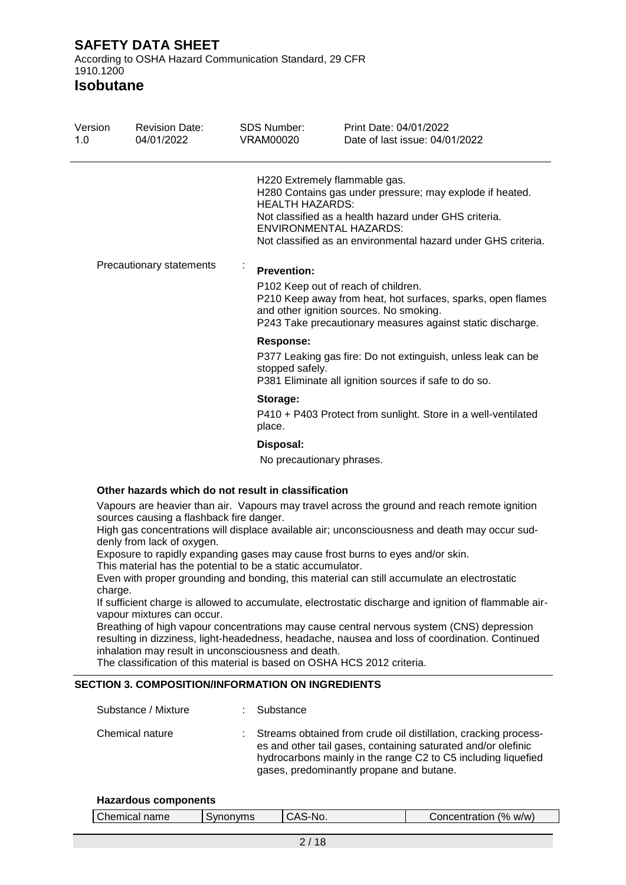According to OSHA Hazard Communication Standard, 29 CFR 1910.1200

**Isobutane**

| Version<br>1.0                                                                                                                                                                                                                                                                                                                                                                                                           | <b>Revision Date:</b><br>04/01/2022                                                                                            | <b>SDS Number:</b><br><b>VRAM00020</b> | Print Date: 04/01/2022<br>Date of last issue: 04/01/2022                                                                                                                                                                                             |  |  |  |
|--------------------------------------------------------------------------------------------------------------------------------------------------------------------------------------------------------------------------------------------------------------------------------------------------------------------------------------------------------------------------------------------------------------------------|--------------------------------------------------------------------------------------------------------------------------------|----------------------------------------|------------------------------------------------------------------------------------------------------------------------------------------------------------------------------------------------------------------------------------------------------|--|--|--|
|                                                                                                                                                                                                                                                                                                                                                                                                                          |                                                                                                                                | <b>HEALTH HAZARDS:</b>                 | H220 Extremely flammable gas.<br>H280 Contains gas under pressure; may explode if heated.<br>Not classified as a health hazard under GHS criteria.<br><b>ENVIRONMENTAL HAZARDS:</b><br>Not classified as an environmental hazard under GHS criteria. |  |  |  |
|                                                                                                                                                                                                                                                                                                                                                                                                                          | Precautionary statements                                                                                                       | <b>Prevention:</b>                     | P102 Keep out of reach of children.<br>P210 Keep away from heat, hot surfaces, sparks, open flames<br>and other ignition sources. No smoking.<br>P243 Take precautionary measures against static discharge.                                          |  |  |  |
|                                                                                                                                                                                                                                                                                                                                                                                                                          |                                                                                                                                | <b>Response:</b><br>stopped safely.    | P377 Leaking gas fire: Do not extinguish, unless leak can be<br>P381 Eliminate all ignition sources if safe to do so.                                                                                                                                |  |  |  |
|                                                                                                                                                                                                                                                                                                                                                                                                                          |                                                                                                                                | Storage:<br>place.                     | P410 + P403 Protect from sunlight. Store in a well-ventilated                                                                                                                                                                                        |  |  |  |
|                                                                                                                                                                                                                                                                                                                                                                                                                          |                                                                                                                                | Disposal:<br>No precautionary phrases. |                                                                                                                                                                                                                                                      |  |  |  |
|                                                                                                                                                                                                                                                                                                                                                                                                                          | Other hazards which do not result in classification                                                                            |                                        |                                                                                                                                                                                                                                                      |  |  |  |
| Vapours are heavier than air. Vapours may travel across the ground and reach remote ignition<br>sources causing a flashback fire danger.<br>High gas concentrations will displace available air; unconsciousness and death may occur sud-<br>denly from lack of oxygen.<br>Exposure to rapidly expanding gases may cause frost burns to eyes and/or skin.<br>This material has the potential to be a static accumulator. |                                                                                                                                |                                        |                                                                                                                                                                                                                                                      |  |  |  |
| Even with proper grounding and bonding, this material can still accumulate an electrostatic<br>charge.<br>If sufficient charge is allowed to accumulate, electrostatic discharge and ignition of flammable air-<br>vapour mixtures can occur.                                                                                                                                                                            |                                                                                                                                |                                        |                                                                                                                                                                                                                                                      |  |  |  |
|                                                                                                                                                                                                                                                                                                                                                                                                                          | inhalation may result in unconsciousness and death.<br>The classification of this material is based on OSHA HCS 2012 criteria. |                                        | Breathing of high vapour concentrations may cause central nervous system (CNS) depression<br>resulting in dizziness, light-headedness, headache, nausea and loss of coordination. Continued                                                          |  |  |  |
|                                                                                                                                                                                                                                                                                                                                                                                                                          | <b>SECTION 3. COMPOSITION/INFORMATION ON INGREDIENTS</b>                                                                       |                                        |                                                                                                                                                                                                                                                      |  |  |  |
|                                                                                                                                                                                                                                                                                                                                                                                                                          | Substance / Mixture                                                                                                            | Substance                              |                                                                                                                                                                                                                                                      |  |  |  |

| Chemical nature | Streams obtained from crude oil distillation, cracking process-<br>es and other tail gases, containing saturated and/or olefinic |
|-----------------|----------------------------------------------------------------------------------------------------------------------------------|
|                 | hydrocarbons mainly in the range C2 to C5 including liquefied                                                                    |
|                 | gases, predominantly propane and butane.                                                                                         |

#### **Hazardous components**

| $^{19}$<br>name<br>;hemıcal<br>W/W)<br>No.<br>`oncentration<br>w<br>ுப∨ப∟ |  |  |  |  |
|---------------------------------------------------------------------------|--|--|--|--|
|---------------------------------------------------------------------------|--|--|--|--|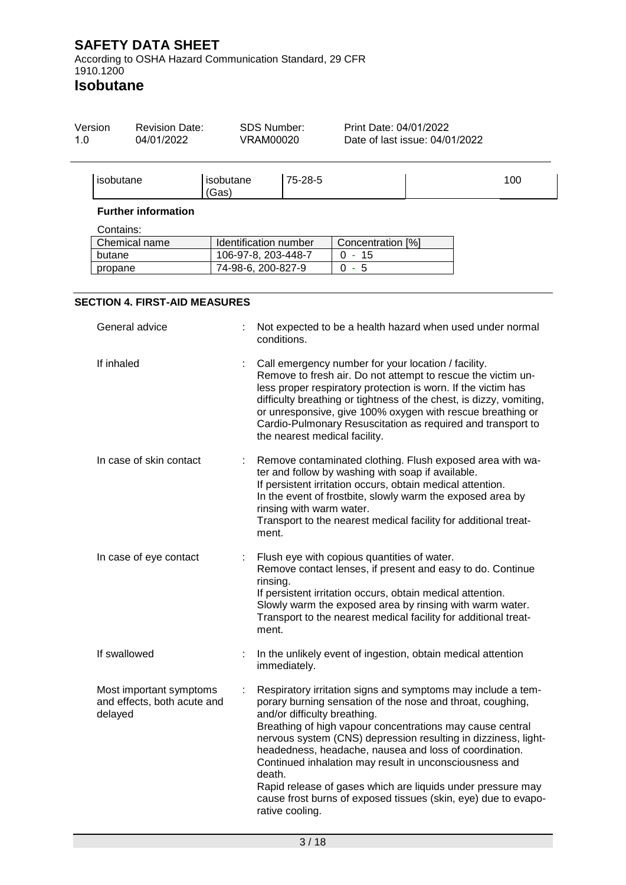According to OSHA Hazard Communication Standard, 29 CFR 1910.1200

| Version<br>1.0 | <b>Revision Date:</b><br>04/01/2022                               | <b>SDS Number:</b><br><b>VRAM00020</b> |                                                 | Print Date: 04/01/2022<br>Date of last issue: 04/01/2022                                                         |                                                                                                                                                                                                                                                                                                                                                                                            |
|----------------|-------------------------------------------------------------------|----------------------------------------|-------------------------------------------------|------------------------------------------------------------------------------------------------------------------|--------------------------------------------------------------------------------------------------------------------------------------------------------------------------------------------------------------------------------------------------------------------------------------------------------------------------------------------------------------------------------------------|
|                | isobutane                                                         | isobutane<br>(Gas)                     | 75-28-5                                         |                                                                                                                  | 100                                                                                                                                                                                                                                                                                                                                                                                        |
|                | <b>Further information</b>                                        |                                        |                                                 |                                                                                                                  |                                                                                                                                                                                                                                                                                                                                                                                            |
|                | Contains:                                                         |                                        |                                                 |                                                                                                                  |                                                                                                                                                                                                                                                                                                                                                                                            |
|                | Chemical name                                                     | Identification number                  |                                                 | Concentration [%]                                                                                                |                                                                                                                                                                                                                                                                                                                                                                                            |
|                | butane                                                            | 106-97-8, 203-448-7                    |                                                 | $0 - 15$                                                                                                         |                                                                                                                                                                                                                                                                                                                                                                                            |
|                | propane                                                           | 74-98-6, 200-827-9                     |                                                 | $0 - 5$                                                                                                          |                                                                                                                                                                                                                                                                                                                                                                                            |
|                |                                                                   |                                        |                                                 |                                                                                                                  |                                                                                                                                                                                                                                                                                                                                                                                            |
|                | <b>SECTION 4. FIRST-AID MEASURES</b>                              |                                        |                                                 |                                                                                                                  |                                                                                                                                                                                                                                                                                                                                                                                            |
|                | General advice                                                    |                                        | conditions.                                     |                                                                                                                  | Not expected to be a health hazard when used under normal                                                                                                                                                                                                                                                                                                                                  |
|                | If inhaled                                                        |                                        |                                                 | Call emergency number for your location / facility.<br>the nearest medical facility.                             | Remove to fresh air. Do not attempt to rescue the victim un-<br>less proper respiratory protection is worn. If the victim has<br>difficulty breathing or tightness of the chest, is dizzy, vomiting,<br>or unresponsive, give 100% oxygen with rescue breathing or<br>Cardio-Pulmonary Resuscitation as required and transport to                                                          |
|                | In case of skin contact                                           | ment.                                  | rinsing with warm water.                        | ter and follow by washing with soap if available.<br>If persistent irritation occurs, obtain medical attention.  | Remove contaminated clothing. Flush exposed area with wa-<br>In the event of frostbite, slowly warm the exposed area by<br>Transport to the nearest medical facility for additional treat-                                                                                                                                                                                                 |
|                | In case of eye contact                                            | rinsing.<br>ment.                      |                                                 | Flush eye with copious quantities of water.<br>If persistent irritation occurs, obtain medical attention.        | Remove contact lenses, if present and easy to do. Continue<br>Slowly warm the exposed area by rinsing with warm water.<br>Transport to the nearest medical facility for additional treat-                                                                                                                                                                                                  |
|                | If swallowed                                                      |                                        | immediately.                                    | In the unlikely event of ingestion, obtain medical attention                                                     |                                                                                                                                                                                                                                                                                                                                                                                            |
|                | Most important symptoms<br>and effects, both acute and<br>delayed | death.                                 | and/or difficulty breathing.<br>rative cooling. | headedness, headache, nausea and loss of coordination.<br>Continued inhalation may result in unconsciousness and | Respiratory irritation signs and symptoms may include a tem-<br>porary burning sensation of the nose and throat, coughing,<br>Breathing of high vapour concentrations may cause central<br>nervous system (CNS) depression resulting in dizziness, light-<br>Rapid release of gases which are liquids under pressure may<br>cause frost burns of exposed tissues (skin, eye) due to evapo- |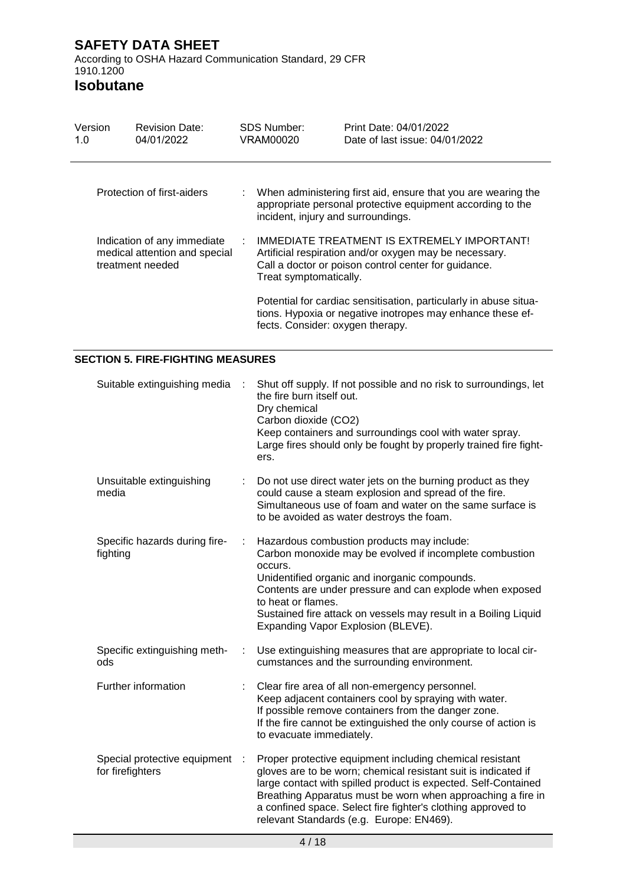**Isobutane**

| Version<br>1.0 | <b>Revision Date:</b><br>04/01/2022                                              |  | <b>SDS Number:</b><br>VRAM00020    | Print Date: 04/01/2022<br>Date of last issue: 04/01/2022                                                                                                      |
|----------------|----------------------------------------------------------------------------------|--|------------------------------------|---------------------------------------------------------------------------------------------------------------------------------------------------------------|
|                | Protection of first-aiders                                                       |  | incident, injury and surroundings. | When administering first aid, ensure that you are wearing the<br>appropriate personal protective equipment according to the                                   |
|                | Indication of any immediate<br>medical attention and special<br>treatment needed |  | Treat symptomatically.             | IMMEDIATE TREATMENT IS EXTREMELY IMPORTANT!<br>Artificial respiration and/or oxygen may be necessary.<br>Call a doctor or poison control center for guidance. |
|                |                                                                                  |  | fects. Consider: oxygen therapy.   | Potential for cardiac sensitisation, particularly in abuse situa-<br>tions. Hypoxia or negative inotropes may enhance these ef-                               |

## **SECTION 5. FIRE-FIGHTING MEASURES**

| Suitable extinguishing media                     | ÷      | Shut off supply. If not possible and no risk to surroundings, let<br>the fire burn itself out.<br>Dry chemical<br>Carbon dioxide (CO2)<br>Keep containers and surroundings cool with water spray.<br>Large fires should only be fought by properly trained fire fight-<br>ers.                                                                                          |
|--------------------------------------------------|--------|-------------------------------------------------------------------------------------------------------------------------------------------------------------------------------------------------------------------------------------------------------------------------------------------------------------------------------------------------------------------------|
| Unsuitable extinguishing<br>media                |        | Do not use direct water jets on the burning product as they<br>could cause a steam explosion and spread of the fire.<br>Simultaneous use of foam and water on the same surface is<br>to be avoided as water destroys the foam.                                                                                                                                          |
| Specific hazards during fire-<br>fighting        | ÷      | Hazardous combustion products may include:<br>Carbon monoxide may be evolved if incomplete combustion<br>occurs.<br>Unidentified organic and inorganic compounds.<br>Contents are under pressure and can explode when exposed<br>to heat or flames.<br>Sustained fire attack on vessels may result in a Boiling Liquid<br>Expanding Vapor Explosion (BLEVE).            |
| Specific extinguishing meth-<br>ods              | ÷      | Use extinguishing measures that are appropriate to local cir-<br>cumstances and the surrounding environment.                                                                                                                                                                                                                                                            |
| Further information                              |        | Clear fire area of all non-emergency personnel.<br>Keep adjacent containers cool by spraying with water.<br>If possible remove containers from the danger zone.<br>If the fire cannot be extinguished the only course of action is<br>to evacuate immediately.                                                                                                          |
| Special protective equipment<br>for firefighters | $\sim$ | Proper protective equipment including chemical resistant<br>gloves are to be worn; chemical resistant suit is indicated if<br>large contact with spilled product is expected. Self-Contained<br>Breathing Apparatus must be worn when approaching a fire in<br>a confined space. Select fire fighter's clothing approved to<br>relevant Standards (e.g. Europe: EN469). |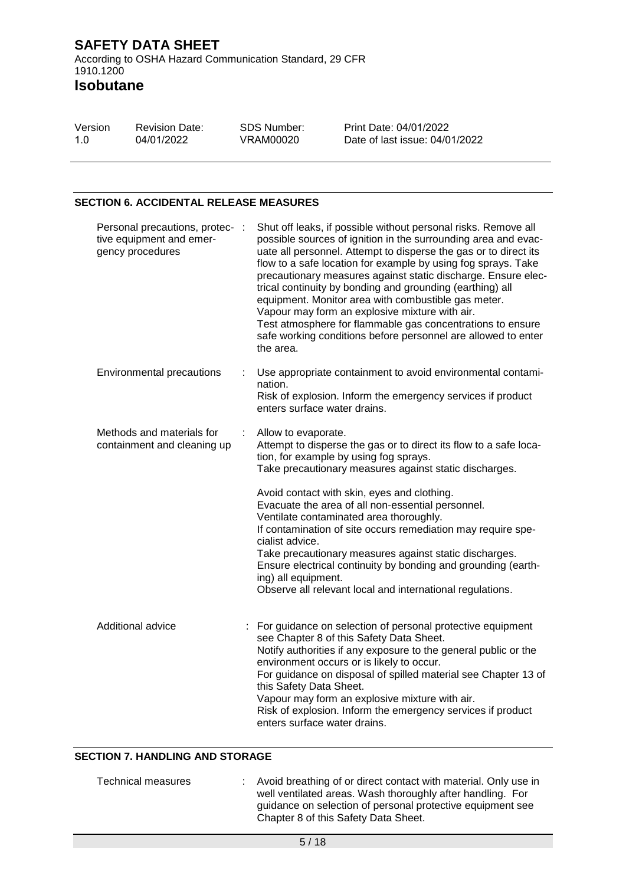**Isobutane**

| Version | <b>Revision Date:</b> | SDS Number: | Print Date: 04/01/2022         |
|---------|-----------------------|-------------|--------------------------------|
| 1.0     | 04/01/2022            | VRAM00020   | Date of last issue: 04/01/2022 |

### **SECTION 6. ACCIDENTAL RELEASE MEASURES**

| Personal precautions, protec- :<br>tive equipment and emer-<br>gency procedures |   | Shut off leaks, if possible without personal risks. Remove all<br>possible sources of ignition in the surrounding area and evac-<br>uate all personnel. Attempt to disperse the gas or to direct its<br>flow to a safe location for example by using fog sprays. Take<br>precautionary measures against static discharge. Ensure elec-<br>trical continuity by bonding and grounding (earthing) all<br>equipment. Monitor area with combustible gas meter.<br>Vapour may form an explosive mixture with air.<br>Test atmosphere for flammable gas concentrations to ensure<br>safe working conditions before personnel are allowed to enter<br>the area. |
|---------------------------------------------------------------------------------|---|----------------------------------------------------------------------------------------------------------------------------------------------------------------------------------------------------------------------------------------------------------------------------------------------------------------------------------------------------------------------------------------------------------------------------------------------------------------------------------------------------------------------------------------------------------------------------------------------------------------------------------------------------------|
| Environmental precautions                                                       |   | Use appropriate containment to avoid environmental contami-<br>nation.<br>Risk of explosion. Inform the emergency services if product<br>enters surface water drains.                                                                                                                                                                                                                                                                                                                                                                                                                                                                                    |
| Methods and materials for<br>containment and cleaning up                        | ÷ | Allow to evaporate.<br>Attempt to disperse the gas or to direct its flow to a safe loca-<br>tion, for example by using fog sprays.<br>Take precautionary measures against static discharges.                                                                                                                                                                                                                                                                                                                                                                                                                                                             |
|                                                                                 |   | Avoid contact with skin, eyes and clothing.<br>Evacuate the area of all non-essential personnel.<br>Ventilate contaminated area thoroughly.<br>If contamination of site occurs remediation may require spe-<br>cialist advice.<br>Take precautionary measures against static discharges.<br>Ensure electrical continuity by bonding and grounding (earth-<br>ing) all equipment.<br>Observe all relevant local and international regulations.                                                                                                                                                                                                            |
| Additional advice                                                               |   | : For guidance on selection of personal protective equipment<br>see Chapter 8 of this Safety Data Sheet.<br>Notify authorities if any exposure to the general public or the<br>environment occurs or is likely to occur.<br>For guidance on disposal of spilled material see Chapter 13 of<br>this Safety Data Sheet.<br>Vapour may form an explosive mixture with air.<br>Risk of explosion. Inform the emergency services if product<br>enters surface water drains.                                                                                                                                                                                   |

### **SECTION 7. HANDLING AND STORAGE**

| Technical measures | : Avoid breathing of or direct contact with material. Only use in<br>well ventilated areas. Wash thoroughly after handling. For |
|--------------------|---------------------------------------------------------------------------------------------------------------------------------|
|                    | guidance on selection of personal protective equipment see<br>Chapter 8 of this Safety Data Sheet.                              |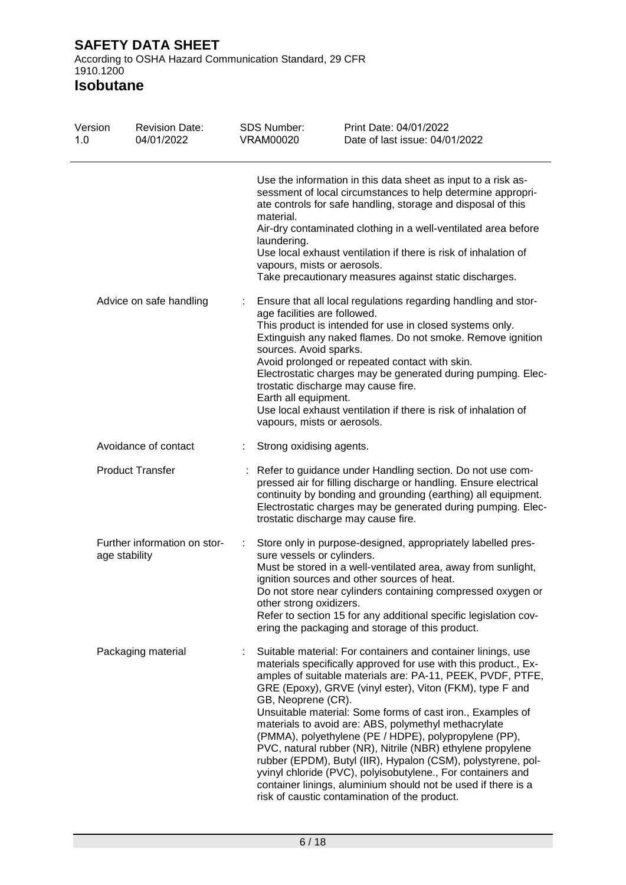According to OSHA Hazard Communication Standard, 29 CFR 1910.1200

| Version<br>1.0       | <b>Revision Date:</b><br>04/01/2022           | <b>SDS Number:</b><br><b>VRAM00020</b>                                                                                                               | Print Date: 04/01/2022<br>Date of last issue: 04/01/2022                                                                                                                                                                                                                                                                                                                                                                                                                                                                                                                                                                                                                                                                                                |
|----------------------|-----------------------------------------------|------------------------------------------------------------------------------------------------------------------------------------------------------|---------------------------------------------------------------------------------------------------------------------------------------------------------------------------------------------------------------------------------------------------------------------------------------------------------------------------------------------------------------------------------------------------------------------------------------------------------------------------------------------------------------------------------------------------------------------------------------------------------------------------------------------------------------------------------------------------------------------------------------------------------|
|                      |                                               | material.<br>laundering.<br>vapours, mists or aerosols.                                                                                              | Use the information in this data sheet as input to a risk as-<br>sessment of local circumstances to help determine appropri-<br>ate controls for safe handling, storage and disposal of this<br>Air-dry contaminated clothing in a well-ventilated area before<br>Use local exhaust ventilation if there is risk of inhalation of<br>Take precautionary measures against static discharges.                                                                                                                                                                                                                                                                                                                                                             |
|                      | Advice on safe handling                       | age facilities are followed.<br>sources. Avoid sparks.<br>trostatic discharge may cause fire.<br>Earth all equipment.<br>vapours, mists or aerosols. | Ensure that all local regulations regarding handling and stor-<br>This product is intended for use in closed systems only.<br>Extinguish any naked flames. Do not smoke. Remove ignition<br>Avoid prolonged or repeated contact with skin.<br>Electrostatic charges may be generated during pumping. Elec-<br>Use local exhaust ventilation if there is risk of inhalation of                                                                                                                                                                                                                                                                                                                                                                           |
| Avoidance of contact |                                               | Strong oxidising agents.                                                                                                                             |                                                                                                                                                                                                                                                                                                                                                                                                                                                                                                                                                                                                                                                                                                                                                         |
|                      | <b>Product Transfer</b>                       | trostatic discharge may cause fire.                                                                                                                  | Refer to guidance under Handling section. Do not use com-<br>pressed air for filling discharge or handling. Ensure electrical<br>continuity by bonding and grounding (earthing) all equipment.<br>Electrostatic charges may be generated during pumping. Elec-                                                                                                                                                                                                                                                                                                                                                                                                                                                                                          |
|                      | Further information on stor-<br>age stability | sure vessels or cylinders.<br>other strong oxidizers.                                                                                                | Store only in purpose-designed, appropriately labelled pres-<br>Must be stored in a well-ventilated area, away from sunlight,<br>ignition sources and other sources of heat.<br>Do not store near cylinders containing compressed oxygen or<br>Refer to section 15 for any additional specific legislation cov-<br>ering the packaging and storage of this product.                                                                                                                                                                                                                                                                                                                                                                                     |
|                      | Packaging material                            | GB, Neoprene (CR).                                                                                                                                   | Suitable material: For containers and container linings, use<br>materials specifically approved for use with this product., Ex-<br>amples of suitable materials are: PA-11, PEEK, PVDF, PTFE,<br>GRE (Epoxy), GRVE (vinyl ester), Viton (FKM), type F and<br>Unsuitable material: Some forms of cast iron., Examples of<br>materials to avoid are: ABS, polymethyl methacrylate<br>(PMMA), polyethylene (PE / HDPE), polypropylene (PP),<br>PVC, natural rubber (NR), Nitrile (NBR) ethylene propylene<br>rubber (EPDM), Butyl (IIR), Hypalon (CSM), polystyrene, pol-<br>yvinyl chloride (PVC), polyisobutylene., For containers and<br>container linings, aluminium should not be used if there is a<br>risk of caustic contamination of the product. |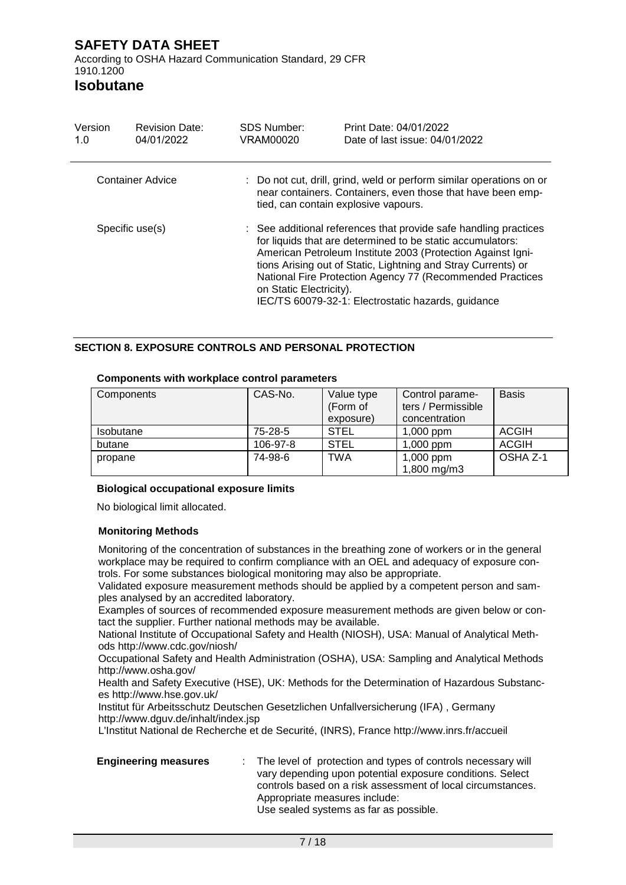# **Isobutane**

| Version<br>1.0  | <b>Revision Date:</b><br>04/01/2022 | <b>SDS Number:</b><br>VRAM00020      | Print Date: 04/01/2022<br>Date of last issue: 04/01/2022                                                                                                                                                                                                                                                                                                                          |
|-----------------|-------------------------------------|--------------------------------------|-----------------------------------------------------------------------------------------------------------------------------------------------------------------------------------------------------------------------------------------------------------------------------------------------------------------------------------------------------------------------------------|
|                 | Container Advice                    | tied, can contain explosive vapours. | : Do not cut, drill, grind, weld or perform similar operations on or<br>near containers. Containers, even those that have been emp-                                                                                                                                                                                                                                               |
| Specific use(s) |                                     | on Static Electricity).              | : See additional references that provide safe handling practices<br>for liquids that are determined to be static accumulators:<br>American Petroleum Institute 2003 (Protection Against Igni-<br>tions Arising out of Static, Lightning and Stray Currents) or<br>National Fire Protection Agency 77 (Recommended Practices<br>IEC/TS 60079-32-1: Electrostatic hazards, guidance |

## **SECTION 8. EXPOSURE CONTROLS AND PERSONAL PROTECTION**

### **Components with workplace control parameters**

| Components       | CAS-No.  | Value type<br>(Form of | Control parame-<br>ters / Permissible | <b>Basis</b> |
|------------------|----------|------------------------|---------------------------------------|--------------|
|                  |          | exposure)              | concentration                         |              |
| <b>Isobutane</b> | 75-28-5  | <b>STEL</b>            | $1,000$ ppm                           | <b>ACGIH</b> |
| butane           | 106-97-8 | <b>STEL</b>            | 1,000 ppm                             | <b>ACGIH</b> |
| propane          | 74-98-6  | TWA                    | 1,000 ppm<br>1,800 mg/m3              | OSHA Z-1     |

### **Biological occupational exposure limits**

No biological limit allocated.

## **Monitoring Methods**

Monitoring of the concentration of substances in the breathing zone of workers or in the general workplace may be required to confirm compliance with an OEL and adequacy of exposure controls. For some substances biological monitoring may also be appropriate.

Validated exposure measurement methods should be applied by a competent person and samples analysed by an accredited laboratory.

Examples of sources of recommended exposure measurement methods are given below or contact the supplier. Further national methods may be available.

National Institute of Occupational Safety and Health (NIOSH), USA: Manual of Analytical Methods http://www.cdc.gov/niosh/

Occupational Safety and Health Administration (OSHA), USA: Sampling and Analytical Methods http://www.osha.gov/

Health and Safety Executive (HSE), UK: Methods for the Determination of Hazardous Substances http://www.hse.gov.uk/

Institut für Arbeitsschutz Deutschen Gesetzlichen Unfallversicherung (IFA) , Germany http://www.dguv.de/inhalt/index.jsp

L'Institut National de Recherche et de Securité, (INRS), France http://www.inrs.fr/accueil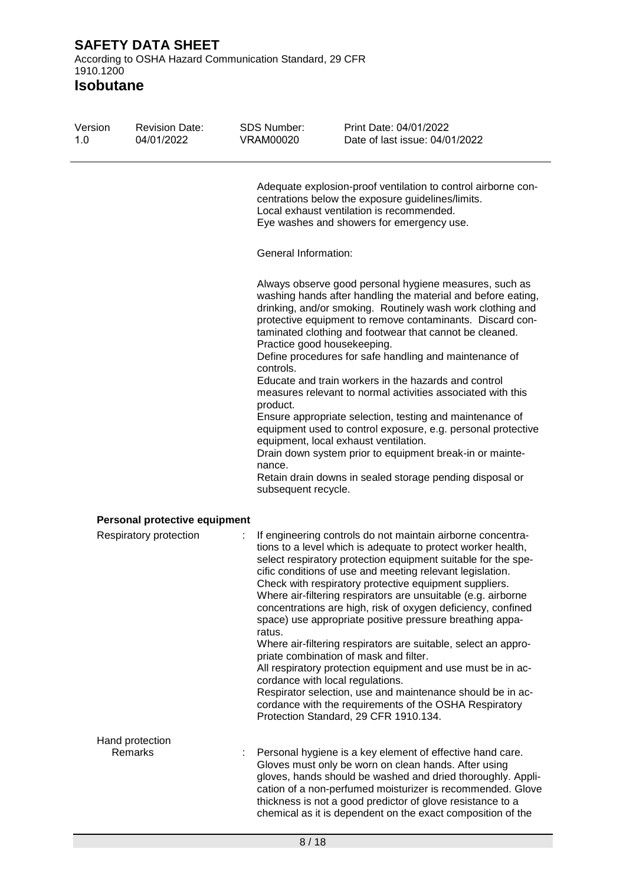| Version<br>1.0 | <b>Revision Date:</b><br>04/01/2022 | <b>SDS Number:</b><br><b>VRAM00020</b>                 | Print Date: 04/01/2022<br>Date of last issue: 04/01/2022                                                                                                                                                                                                                                                                                                                                                                                                                                                                                                                                                                                                                                                                                                                                                                                                                                         |
|----------------|-------------------------------------|--------------------------------------------------------|--------------------------------------------------------------------------------------------------------------------------------------------------------------------------------------------------------------------------------------------------------------------------------------------------------------------------------------------------------------------------------------------------------------------------------------------------------------------------------------------------------------------------------------------------------------------------------------------------------------------------------------------------------------------------------------------------------------------------------------------------------------------------------------------------------------------------------------------------------------------------------------------------|
|                |                                     |                                                        | Adequate explosion-proof ventilation to control airborne con-<br>centrations below the exposure guidelines/limits.<br>Local exhaust ventilation is recommended.<br>Eye washes and showers for emergency use.                                                                                                                                                                                                                                                                                                                                                                                                                                                                                                                                                                                                                                                                                     |
|                |                                     | <b>General Information:</b>                            |                                                                                                                                                                                                                                                                                                                                                                                                                                                                                                                                                                                                                                                                                                                                                                                                                                                                                                  |
|                |                                     | controls.<br>product.<br>nance.<br>subsequent recycle. | Always observe good personal hygiene measures, such as<br>washing hands after handling the material and before eating,<br>drinking, and/or smoking. Routinely wash work clothing and<br>protective equipment to remove contaminants. Discard con-<br>taminated clothing and footwear that cannot be cleaned.<br>Practice good housekeeping.<br>Define procedures for safe handling and maintenance of<br>Educate and train workers in the hazards and control<br>measures relevant to normal activities associated with this<br>Ensure appropriate selection, testing and maintenance of<br>equipment used to control exposure, e.g. personal protective<br>equipment, local exhaust ventilation.<br>Drain down system prior to equipment break-in or mainte-<br>Retain drain downs in sealed storage pending disposal or                                                                        |
|                | Personal protective equipment       |                                                        |                                                                                                                                                                                                                                                                                                                                                                                                                                                                                                                                                                                                                                                                                                                                                                                                                                                                                                  |
|                | Respiratory protection              | ÷.<br>ratus.                                           | If engineering controls do not maintain airborne concentra-<br>tions to a level which is adequate to protect worker health,<br>select respiratory protection equipment suitable for the spe-<br>cific conditions of use and meeting relevant legislation.<br>Check with respiratory protective equipment suppliers.<br>Where air-filtering respirators are unsuitable (e.g. airborne<br>concentrations are high, risk of oxygen deficiency, confined<br>space) use appropriate positive pressure breathing appa-<br>Where air-filtering respirators are suitable, select an appro-<br>priate combination of mask and filter.<br>All respiratory protection equipment and use must be in ac-<br>cordance with local regulations.<br>Respirator selection, use and maintenance should be in ac-<br>cordance with the requirements of the OSHA Respiratory<br>Protection Standard, 29 CFR 1910.134. |
|                | Hand protection                     |                                                        |                                                                                                                                                                                                                                                                                                                                                                                                                                                                                                                                                                                                                                                                                                                                                                                                                                                                                                  |
|                | <b>Remarks</b>                      |                                                        | Personal hygiene is a key element of effective hand care.<br>Gloves must only be worn on clean hands. After using<br>gloves, hands should be washed and dried thoroughly. Appli-<br>cation of a non-perfumed moisturizer is recommended. Glove<br>thickness is not a good predictor of glove resistance to a<br>chemical as it is dependent on the exact composition of the                                                                                                                                                                                                                                                                                                                                                                                                                                                                                                                      |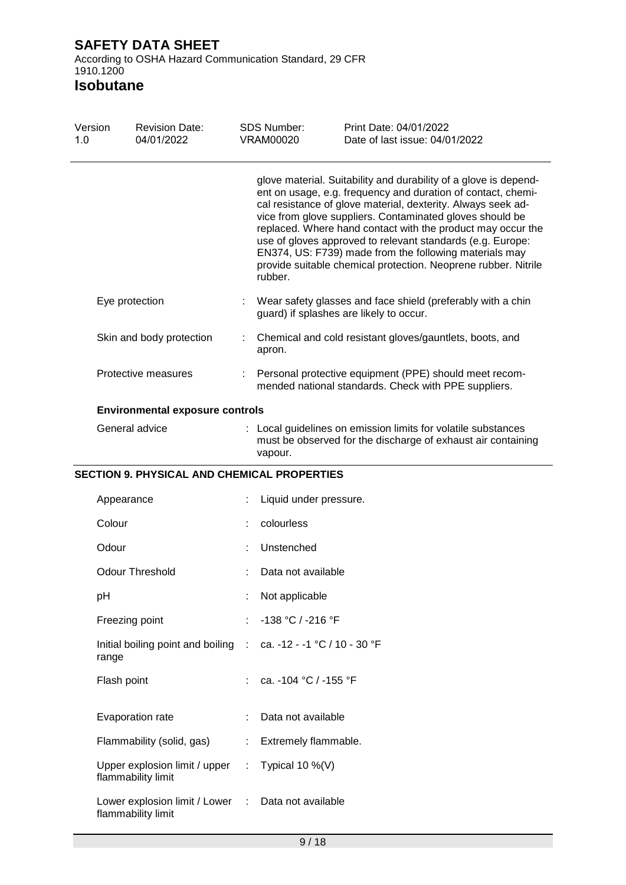According to OSHA Hazard Communication Standard, 29 CFR 1910.1200

| Version<br>1.0 | <b>Revision Date:</b><br>04/01/2022                 | <b>SDS Number:</b><br><b>VRAM00020</b> | Print Date: 04/01/2022<br>Date of last issue: 04/01/2022                                                                                                                                                                                                                                                                                                                                                                                                                                                              |
|----------------|-----------------------------------------------------|----------------------------------------|-----------------------------------------------------------------------------------------------------------------------------------------------------------------------------------------------------------------------------------------------------------------------------------------------------------------------------------------------------------------------------------------------------------------------------------------------------------------------------------------------------------------------|
|                |                                                     | rubber.                                | glove material. Suitability and durability of a glove is depend-<br>ent on usage, e.g. frequency and duration of contact, chemi-<br>cal resistance of glove material, dexterity. Always seek ad-<br>vice from glove suppliers. Contaminated gloves should be<br>replaced. Where hand contact with the product may occur the<br>use of gloves approved to relevant standards (e.g. Europe:<br>EN374, US: F739) made from the following materials may<br>provide suitable chemical protection. Neoprene rubber. Nitrile |
|                | Eye protection                                      |                                        | Wear safety glasses and face shield (preferably with a chin<br>guard) if splashes are likely to occur.                                                                                                                                                                                                                                                                                                                                                                                                                |
|                | Skin and body protection                            | apron.                                 | Chemical and cold resistant gloves/gauntlets, boots, and                                                                                                                                                                                                                                                                                                                                                                                                                                                              |
|                | Protective measures                                 |                                        | Personal protective equipment (PPE) should meet recom-<br>mended national standards. Check with PPE suppliers.                                                                                                                                                                                                                                                                                                                                                                                                        |
|                | <b>Environmental exposure controls</b>              |                                        |                                                                                                                                                                                                                                                                                                                                                                                                                                                                                                                       |
|                | General advice                                      | vapour.                                | : Local guidelines on emission limits for volatile substances<br>must be observed for the discharge of exhaust air containing                                                                                                                                                                                                                                                                                                                                                                                         |
|                | <b>SECTION 9. PHYSICAL AND CHEMICAL PROPERTIES</b>  |                                        |                                                                                                                                                                                                                                                                                                                                                                                                                                                                                                                       |
|                | Appearance                                          | Liquid under pressure.                 |                                                                                                                                                                                                                                                                                                                                                                                                                                                                                                                       |
| Colour         |                                                     | colourless                             |                                                                                                                                                                                                                                                                                                                                                                                                                                                                                                                       |
| Odour          |                                                     | Unstenched                             |                                                                                                                                                                                                                                                                                                                                                                                                                                                                                                                       |
|                | <b>Odour Threshold</b>                              | Data not available                     |                                                                                                                                                                                                                                                                                                                                                                                                                                                                                                                       |
| рH             |                                                     | Not applicable                         |                                                                                                                                                                                                                                                                                                                                                                                                                                                                                                                       |
|                | Freezing point                                      | -138 °C / -216 °F                      |                                                                                                                                                                                                                                                                                                                                                                                                                                                                                                                       |
| range          | Initial boiling point and boiling :                 | ca. -12 - -1 °C / 10 - 30 °F           |                                                                                                                                                                                                                                                                                                                                                                                                                                                                                                                       |
|                | Flash point                                         | ca. -104 °C / -155 °F                  |                                                                                                                                                                                                                                                                                                                                                                                                                                                                                                                       |
|                | Evaporation rate                                    | Data not available                     |                                                                                                                                                                                                                                                                                                                                                                                                                                                                                                                       |
|                | Flammability (solid, gas)                           | Extremely flammable.                   |                                                                                                                                                                                                                                                                                                                                                                                                                                                                                                                       |
|                | Upper explosion limit / upper<br>flammability limit | Typical 10 $\%$ (V)                    |                                                                                                                                                                                                                                                                                                                                                                                                                                                                                                                       |
|                | Lower explosion limit / Lower<br>flammability limit | Data not available                     |                                                                                                                                                                                                                                                                                                                                                                                                                                                                                                                       |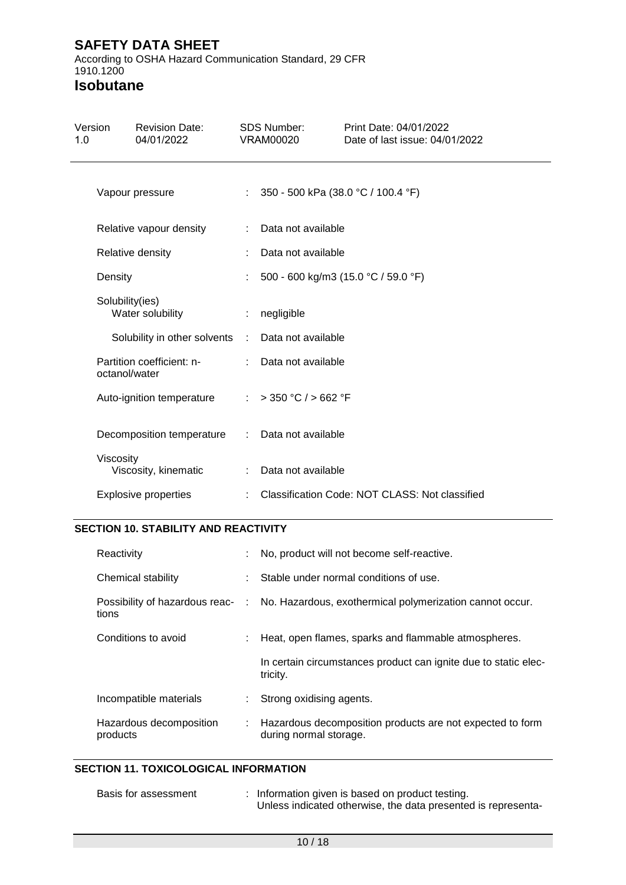According to OSHA Hazard Communication Standard, 29 CFR 1910.1200

**Isobutane**

| Version<br>1.0 |                 | <b>Revision Date:</b><br>04/01/2022 |               | <b>SDS Number:</b><br><b>VRAM00020</b> | Print Date: 04/01/2022<br>Date of last issue: 04/01/2022 |
|----------------|-----------------|-------------------------------------|---------------|----------------------------------------|----------------------------------------------------------|
|                |                 | Vapour pressure                     | ÷.            | 350 - 500 kPa (38.0 °C / 100.4 °F)     |                                                          |
|                |                 | Relative vapour density             |               | Data not available                     |                                                          |
|                |                 | Relative density                    |               | Data not available                     |                                                          |
|                | Density         |                                     |               |                                        | 500 - 600 kg/m3 (15.0 °C / 59.0 °F)                      |
|                | Solubility(ies) | Water solubility                    |               | negligible                             |                                                          |
|                |                 | Solubility in other solvents :      |               | Data not available                     |                                                          |
|                | octanol/water   | Partition coefficient: n-           |               | Data not available                     |                                                          |
|                |                 | Auto-ignition temperature           | $\mathcal{L}$ | $>$ 350 °C / $>$ 662 °F                |                                                          |
|                |                 | Decomposition temperature           | ÷             | Data not available                     |                                                          |
|                | Viscosity       | Viscosity, kinematic                |               | Data not available                     |                                                          |
|                |                 | <b>Explosive properties</b>         |               |                                        | Classification Code: NOT CLASS: Not classified           |

## **SECTION 10. STABILITY AND REACTIVITY**

| Reactivity                          |    | No, product will not become self-reactive.                                                |
|-------------------------------------|----|-------------------------------------------------------------------------------------------|
| Chemical stability                  |    | Stable under normal conditions of use.                                                    |
| tions                               |    | Possibility of hazardous reac- : No. Hazardous, exothermical polymerization cannot occur. |
| Conditions to avoid                 |    | Heat, open flames, sparks and flammable atmospheres.                                      |
|                                     |    | In certain circumstances product can ignite due to static elec-<br>tricity.               |
| Incompatible materials              | ÷. | Strong oxidising agents.                                                                  |
| Hazardous decomposition<br>products |    | Hazardous decomposition products are not expected to form<br>during normal storage.       |

## **SECTION 11. TOXICOLOGICAL INFORMATION**

| Basis for assessment | : Information given is based on product testing.              |
|----------------------|---------------------------------------------------------------|
|                      | Unless indicated otherwise, the data presented is representa- |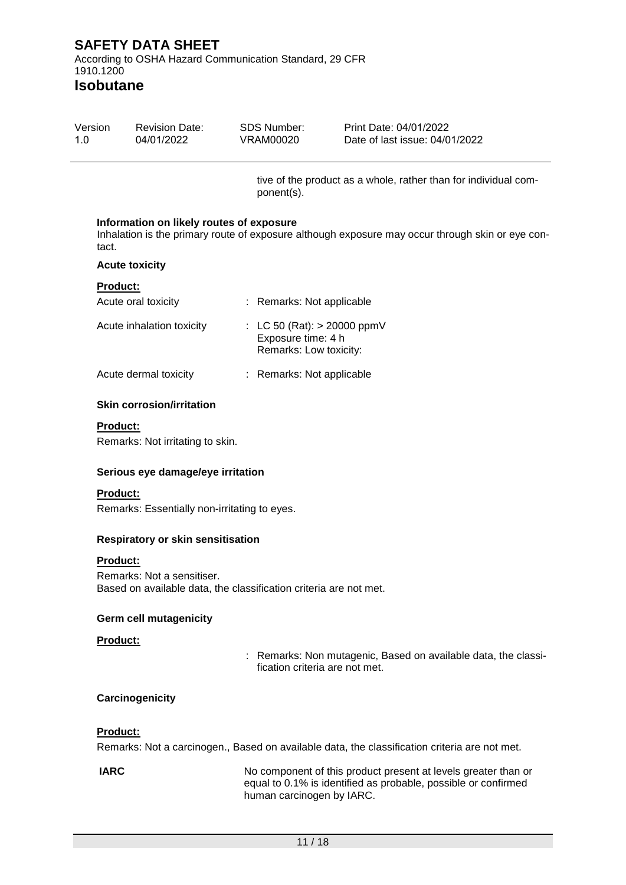## **Isobutane**

| Version | <b>Revision Date:</b> | SDS Number: | Print Date: 04/01/2022         |  |
|---------|-----------------------|-------------|--------------------------------|--|
| 1 N     | 04/01/2022            | VRAM00020   | Date of last issue: 04/01/2022 |  |

tive of the product as a whole, rather than for individual component(s).

#### **Information on likely routes of exposure**

Inhalation is the primary route of exposure although exposure may occur through skin or eye contact.

#### **Acute toxicity**

#### **Product:**

| Acute oral toxicity       | : Remarks: Not applicable                                                     |
|---------------------------|-------------------------------------------------------------------------------|
| Acute inhalation toxicity | : LC 50 (Rat): $> 20000$ ppmV<br>Exposure time: 4 h<br>Remarks: Low toxicity: |
| Acute dermal toxicity     | : Remarks: Not applicable                                                     |

#### **Skin corrosion/irritation**

#### **Product:**

Remarks: Not irritating to skin.

#### **Serious eye damage/eye irritation**

#### **Product:**

Remarks: Essentially non-irritating to eyes.

#### **Respiratory or skin sensitisation**

#### **Product:**

Remarks: Not a sensitiser. Based on available data, the classification criteria are not met.

#### **Germ cell mutagenicity**

#### **Product:**

: Remarks: Non mutagenic, Based on available data, the classification criteria are not met.

### **Carcinogenicity**

### **Product:**

Remarks: Not a carcinogen., Based on available data, the classification criteria are not met.

**IARC** No component of this product present at levels greater than or equal to 0.1% is identified as probable, possible or confirmed human carcinogen by IARC.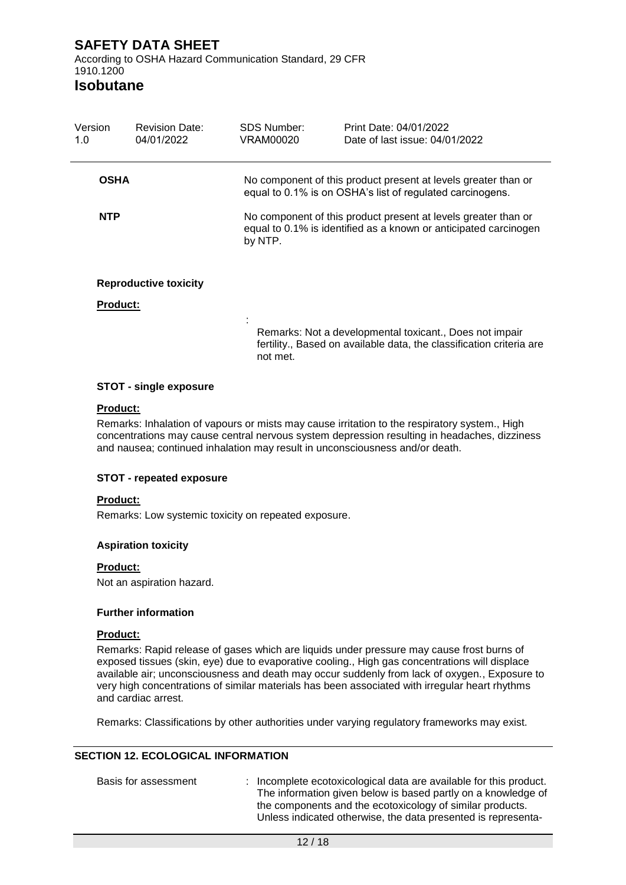**Isobutane**

| Version<br>1.0  | <b>Revision Date:</b><br>04/01/2022 | <b>SDS Number:</b><br>VRAM00020 | Print Date: 04/01/2022<br>Date of last issue: 04/01/2022                                                                           |
|-----------------|-------------------------------------|---------------------------------|------------------------------------------------------------------------------------------------------------------------------------|
| <b>OSHA</b>     |                                     |                                 | No component of this product present at levels greater than or<br>equal to 0.1% is on OSHA's list of regulated carcinogens.        |
| <b>NTP</b>      |                                     | by NTP.                         | No component of this product present at levels greater than or<br>equal to 0.1% is identified as a known or anticipated carcinogen |
| <b>Product:</b> | <b>Reproductive toxicity</b>        |                                 |                                                                                                                                    |
|                 |                                     |                                 | Remarks: Not a developmental toxicant., Does not impair<br>fertility., Based on available data, the classification criteria are    |

not met.

### **STOT - single exposure**

#### **Product:**

Remarks: Inhalation of vapours or mists may cause irritation to the respiratory system., High concentrations may cause central nervous system depression resulting in headaches, dizziness and nausea; continued inhalation may result in unconsciousness and/or death.

### **STOT - repeated exposure**

#### **Product:**

Remarks: Low systemic toxicity on repeated exposure.

#### **Aspiration toxicity**

#### **Product:**

Not an aspiration hazard.

#### **Further information**

#### **Product:**

Remarks: Rapid release of gases which are liquids under pressure may cause frost burns of exposed tissues (skin, eye) due to evaporative cooling., High gas concentrations will displace available air; unconsciousness and death may occur suddenly from lack of oxygen., Exposure to very high concentrations of similar materials has been associated with irregular heart rhythms and cardiac arrest.

Remarks: Classifications by other authorities under varying regulatory frameworks may exist.

### **SECTION 12. ECOLOGICAL INFORMATION**

| Basis for assessment | : Incomplete ecotoxicological data are available for this product.<br>The information given below is based partly on a knowledge of<br>the components and the ecotoxicology of similar products.<br>Unless indicated otherwise, the data presented is representa- |
|----------------------|-------------------------------------------------------------------------------------------------------------------------------------------------------------------------------------------------------------------------------------------------------------------|
|                      |                                                                                                                                                                                                                                                                   |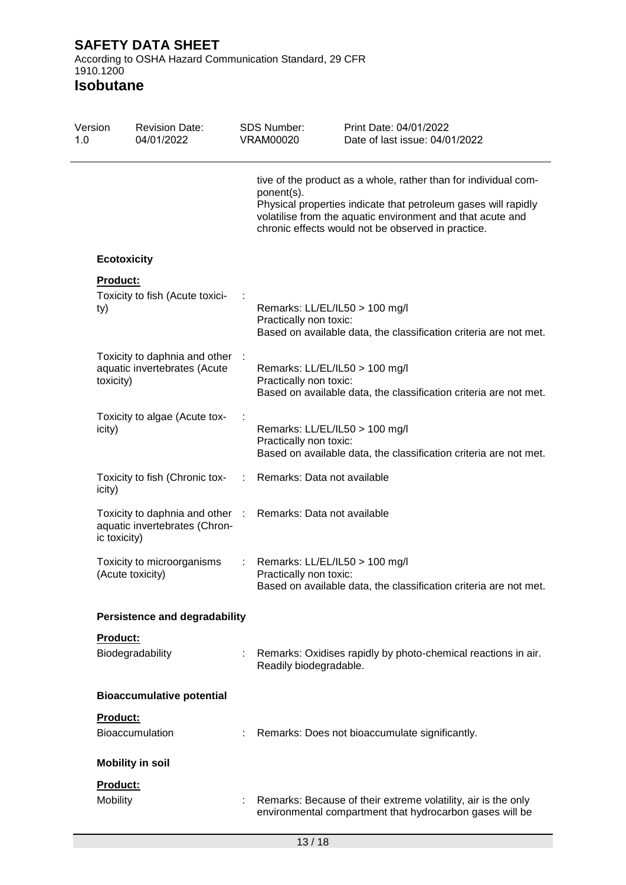According to OSHA Hazard Communication Standard, 29 CFR 1910.1200

| Version<br>1.0 | <b>Revision Date:</b><br>04/01/2022                                              |   | <b>SDS Number:</b><br>VRAM00020                          | Print Date: 04/01/2022<br>Date of last issue: 04/01/2022                                                                                                                                                                                              |
|----------------|----------------------------------------------------------------------------------|---|----------------------------------------------------------|-------------------------------------------------------------------------------------------------------------------------------------------------------------------------------------------------------------------------------------------------------|
|                |                                                                                  |   | ponent(s).                                               | tive of the product as a whole, rather than for individual com-<br>Physical properties indicate that petroleum gases will rapidly<br>volatilise from the aquatic environment and that acute and<br>chronic effects would not be observed in practice. |
|                | <b>Ecotoxicity</b>                                                               |   |                                                          |                                                                                                                                                                                                                                                       |
|                | Product:<br>Toxicity to fish (Acute toxici-<br>ty)                               |   | Remarks: LL/EL/IL50 > 100 mg/l<br>Practically non toxic: | Based on available data, the classification criteria are not met.                                                                                                                                                                                     |
|                | Toxicity to daphnia and other :<br>aquatic invertebrates (Acute<br>toxicity)     |   | Remarks: LL/EL/IL50 > 100 mg/l<br>Practically non toxic: | Based on available data, the classification criteria are not met.                                                                                                                                                                                     |
|                | Toxicity to algae (Acute tox-<br>icity)                                          |   | Remarks: LL/EL/IL50 > 100 mg/l<br>Practically non toxic: | Based on available data, the classification criteria are not met.                                                                                                                                                                                     |
|                | Toxicity to fish (Chronic tox-<br>icity)                                         |   | Remarks: Data not available                              |                                                                                                                                                                                                                                                       |
|                | Toxicity to daphnia and other :<br>aquatic invertebrates (Chron-<br>ic toxicity) |   | Remarks: Data not available                              |                                                                                                                                                                                                                                                       |
|                | Toxicity to microorganisms<br>(Acute toxicity)                                   | ÷ | Remarks: LL/EL/IL50 > 100 mg/l<br>Practically non toxic: | Based on available data, the classification criteria are not met.                                                                                                                                                                                     |
|                | <b>Persistence and degradability</b>                                             |   |                                                          |                                                                                                                                                                                                                                                       |
|                | Product:                                                                         |   |                                                          |                                                                                                                                                                                                                                                       |
|                | Biodegradability                                                                 |   | Readily biodegradable.                                   | Remarks: Oxidises rapidly by photo-chemical reactions in air.                                                                                                                                                                                         |
|                | <b>Bioaccumulative potential</b>                                                 |   |                                                          |                                                                                                                                                                                                                                                       |
|                | <b>Product:</b>                                                                  |   |                                                          |                                                                                                                                                                                                                                                       |
|                | Bioaccumulation                                                                  |   |                                                          | Remarks: Does not bioaccumulate significantly.                                                                                                                                                                                                        |
|                | <b>Mobility in soil</b>                                                          |   |                                                          |                                                                                                                                                                                                                                                       |
|                | Product:                                                                         |   |                                                          |                                                                                                                                                                                                                                                       |
|                | Mobility                                                                         |   |                                                          | Remarks: Because of their extreme volatility, air is the only<br>environmental compartment that hydrocarbon gases will be                                                                                                                             |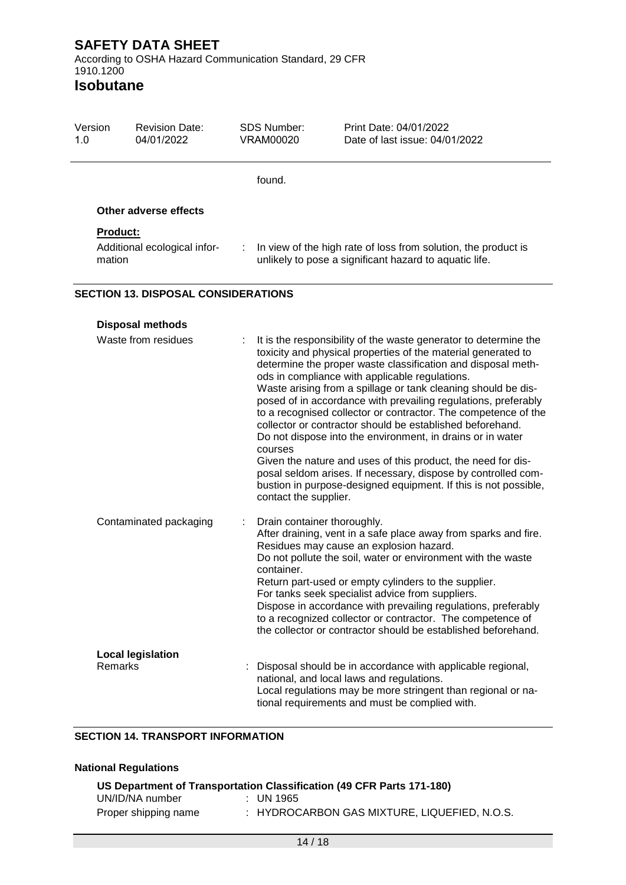1.0

1910.1200 **Isobutane**

## Version Revision Date: 04/01/2022 SDS Number: VRAM00020 Print Date: 04/01/2022 Date of last issue: 04/01/2022 found. **Other adverse effects Product:** Additional ecological infor- : In view of the high rate of loss from solution, the product is mation unlikely to pose a significant hazard to aquatic life.

## **SECTION 13. DISPOSAL CONSIDERATIONS**

| <b>Disposal methods</b>             |                                                                                                                                                                                                                                                                                                                                                                                                                                                                                                                                                                                                                                                                                                                                                                                                                             |
|-------------------------------------|-----------------------------------------------------------------------------------------------------------------------------------------------------------------------------------------------------------------------------------------------------------------------------------------------------------------------------------------------------------------------------------------------------------------------------------------------------------------------------------------------------------------------------------------------------------------------------------------------------------------------------------------------------------------------------------------------------------------------------------------------------------------------------------------------------------------------------|
| Waste from residues<br>÷.           | It is the responsibility of the waste generator to determine the<br>toxicity and physical properties of the material generated to<br>determine the proper waste classification and disposal meth-<br>ods in compliance with applicable regulations.<br>Waste arising from a spillage or tank cleaning should be dis-<br>posed of in accordance with prevailing regulations, preferably<br>to a recognised collector or contractor. The competence of the<br>collector or contractor should be established beforehand.<br>Do not dispose into the environment, in drains or in water<br>courses<br>Given the nature and uses of this product, the need for dis-<br>posal seldom arises. If necessary, dispose by controlled com-<br>bustion in purpose-designed equipment. If this is not possible,<br>contact the supplier. |
| Contaminated packaging              | Drain container thoroughly.<br>After draining, vent in a safe place away from sparks and fire.<br>Residues may cause an explosion hazard.<br>Do not pollute the soil, water or environment with the waste<br>container.<br>Return part-used or empty cylinders to the supplier.<br>For tanks seek specialist advice from suppliers.<br>Dispose in accordance with prevailing regulations, preferably<br>to a recognized collector or contractor. The competence of<br>the collector or contractor should be established beforehand.                                                                                                                                                                                                                                                                                         |
| <b>Local legislation</b><br>Remarks | Disposal should be in accordance with applicable regional,<br>national, and local laws and regulations.<br>Local regulations may be more stringent than regional or na-<br>tional requirements and must be complied with.                                                                                                                                                                                                                                                                                                                                                                                                                                                                                                                                                                                                   |

## **SECTION 14. TRANSPORT INFORMATION**

| <b>National Regulations</b> |                                                                       |  |  |  |
|-----------------------------|-----------------------------------------------------------------------|--|--|--|
|                             | US Department of Transportation Classification (49 CFR Parts 171-180) |  |  |  |
| UN/ID/NA number             | $\pm$ UN 1965                                                         |  |  |  |
| Proper shipping name        | : HYDROCARBON GAS MIXTURE, LIQUEFIED, N.O.S.                          |  |  |  |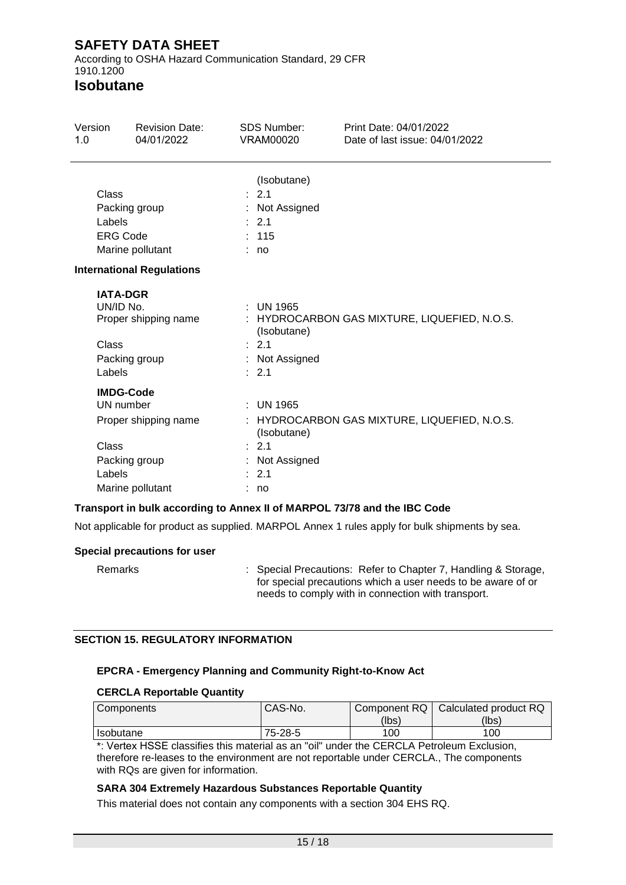According to OSHA Hazard Communication Standard, 29 CFR 1910.1200

## **Isobutane**

| Version<br><b>Revision Date:</b><br>04/01/2022<br>1.0                                                         |                                                                       | SDS Number:<br>VRAM00020                                                          | Print Date: 04/01/2022<br>Date of last issue: 04/01/2022 |
|---------------------------------------------------------------------------------------------------------------|-----------------------------------------------------------------------|-----------------------------------------------------------------------------------|----------------------------------------------------------|
| Class<br>Labels<br><b>ERG Code</b>                                                                            | Packing group<br>Marine pollutant<br><b>International Regulations</b> | (Isobutane)<br>: 2.1<br>: Not Assigned<br>$\therefore$ 2.1<br>: 115<br>: no       |                                                          |
| <b>IATA-DGR</b><br>UN/ID No.<br>Proper shipping name<br>Class<br>Packing group<br>Labels                      |                                                                       | $:$ UN 1965<br>(Isobutane)<br>$\therefore$ 2.1<br>: Not Assigned<br>: 2.1         | : HYDROCARBON GAS MIXTURE, LIQUEFIED, N.O.S.             |
| <b>IMDG-Code</b><br>UN number<br>Proper shipping name<br>Class<br>Packing group<br>Labels<br>Marine pollutant |                                                                       | $:$ UN 1965<br>(Isobutane)<br>: 2.1<br>: Not Assigned<br>$\therefore$ 2.1<br>: no | : HYDROCARBON GAS MIXTURE, LIQUEFIED, N.O.S.             |

### **Transport in bulk according to Annex II of MARPOL 73/78 and the IBC Code**

Not applicable for product as supplied. MARPOL Annex 1 rules apply for bulk shipments by sea.

#### **Special precautions for user**

Remarks : Special Precautions: Refer to Chapter 7, Handling & Storage, for special precautions which a user needs to be aware of or needs to comply with in connection with transport.

### **SECTION 15. REGULATORY INFORMATION**

### **EPCRA - Emergency Planning and Community Right-to-Know Act**

#### **CERCLA Reportable Quantity**

| <b>Components</b> | CAS-No. |       | Component RQ   Calculated product RQ |
|-------------------|---------|-------|--------------------------------------|
|                   |         | (lbs) | (lbs)                                |
| Isobutane         | 75-28-5 | 100   | 100                                  |

\*: Vertex HSSE classifies this material as an "oil" under the CERCLA Petroleum Exclusion, therefore re-leases to the environment are not reportable under CERCLA., The components with RQs are given for information.

### **SARA 304 Extremely Hazardous Substances Reportable Quantity**

This material does not contain any components with a section 304 EHS RQ.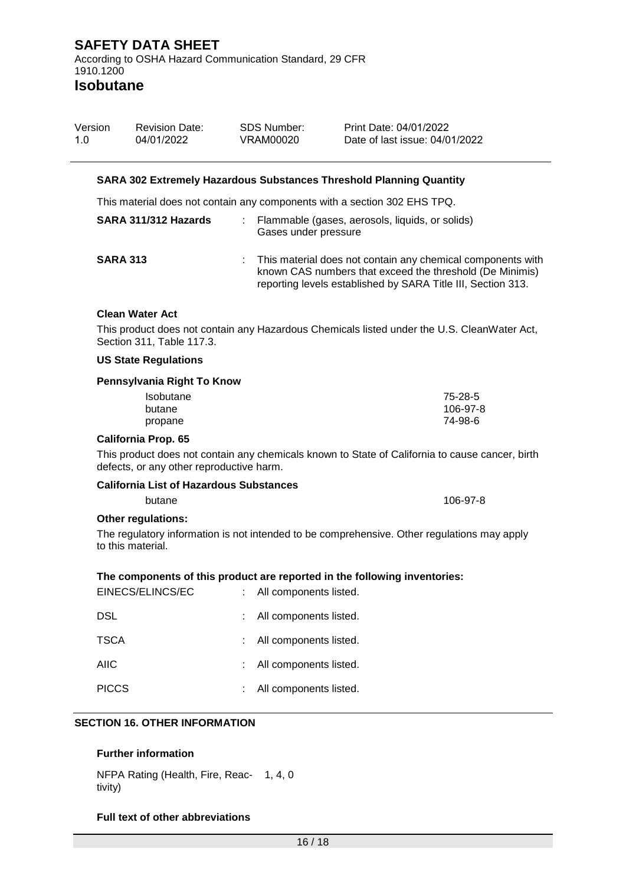| Version | <b>Revision Date:</b> | SDS Number: | Print Date: 04/01/2022         |
|---------|-----------------------|-------------|--------------------------------|
| 1.0     | 04/01/2022            | VRAM00020   | Date of last issue: 04/01/2022 |

#### **SARA 302 Extremely Hazardous Substances Threshold Planning Quantity**

This material does not contain any components with a section 302 EHS TPQ.

| SARA 311/312 Hazards | Flammable (gases, aerosols, liquids, or solids)<br>Gases under pressure                                                                                                                 |
|----------------------|-----------------------------------------------------------------------------------------------------------------------------------------------------------------------------------------|
| <b>SARA 313</b>      | This material does not contain any chemical components with<br>known CAS numbers that exceed the threshold (De Minimis)<br>reporting levels established by SARA Title III, Section 313. |

#### **Clean Water Act**

This product does not contain any Hazardous Chemicals listed under the U.S. CleanWater Act, Section 311, Table 117.3.

#### **US State Regulations**

### **Pennsylvania Right To Know**

| <b>Isobutane</b> | 75-28-5  |
|------------------|----------|
| butane           | 106-97-8 |
| propane          | 74-98-6  |

#### **California Prop. 65**

This product does not contain any chemicals known to State of California to cause cancer, birth defects, or any other reproductive harm.

#### **California List of Hazardous Substances**

butane 106-97-8

### **Other regulations:**

The regulatory information is not intended to be comprehensive. Other regulations may apply to this material.

#### **The components of this product are reported in the following inventories:**

| EINECS/ELINCS/EC | : All components listed. |
|------------------|--------------------------|
| DSL              | All components listed.   |
| <b>TSCA</b>      | All components listed.   |
| AIIC             | All components listed.   |
| <b>PICCS</b>     | All components listed.   |

#### **SECTION 16. OTHER INFORMATION**

#### **Further information**

NFPA Rating (Health, Fire, Reac-1, 4, 0 tivity)

#### **Full text of other abbreviations**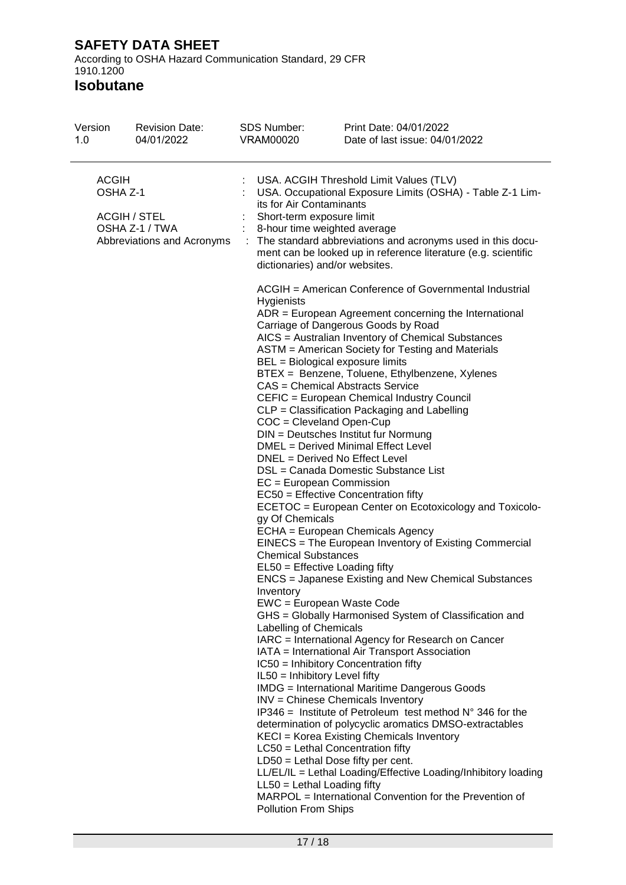According to OSHA Hazard Communication Standard, 29 CFR 1910.1200

| Version<br>1.0                                                                                  | <b>Revision Date:</b><br>04/01/2022 | SDS Number:<br><b>VRAM00020</b> |                                                                                                                                                                                                                                                                                                                                                                   | Print Date: 04/01/2022<br>Date of last issue: 04/01/2022                                                                                                                                                                                                                                                                                                                                                                                                                                                                                                                                                                                                                                                                                                                                                                                                                                                                                                                                                                                                                                                                                                                                                                                                                                                                                                                                                                                                                                                                                                                                                           |  |
|-------------------------------------------------------------------------------------------------|-------------------------------------|---------------------------------|-------------------------------------------------------------------------------------------------------------------------------------------------------------------------------------------------------------------------------------------------------------------------------------------------------------------------------------------------------------------|--------------------------------------------------------------------------------------------------------------------------------------------------------------------------------------------------------------------------------------------------------------------------------------------------------------------------------------------------------------------------------------------------------------------------------------------------------------------------------------------------------------------------------------------------------------------------------------------------------------------------------------------------------------------------------------------------------------------------------------------------------------------------------------------------------------------------------------------------------------------------------------------------------------------------------------------------------------------------------------------------------------------------------------------------------------------------------------------------------------------------------------------------------------------------------------------------------------------------------------------------------------------------------------------------------------------------------------------------------------------------------------------------------------------------------------------------------------------------------------------------------------------------------------------------------------------------------------------------------------------|--|
| <b>ACGIH</b><br>OSHA Z-1<br><b>ACGIH / STEL</b><br>OSHA Z-1 / TWA<br>Abbreviations and Acronyms |                                     |                                 | USA. ACGIH Threshold Limit Values (TLV)<br>USA. Occupational Exposure Limits (OSHA) - Table Z-1 Lim-<br>its for Air Contaminants<br>Short-term exposure limit<br>8-hour time weighted average<br>: The standard abbreviations and acronyms used in this docu-<br>ment can be looked up in reference literature (e.g. scientific<br>dictionaries) and/or websites. |                                                                                                                                                                                                                                                                                                                                                                                                                                                                                                                                                                                                                                                                                                                                                                                                                                                                                                                                                                                                                                                                                                                                                                                                                                                                                                                                                                                                                                                                                                                                                                                                                    |  |
|                                                                                                 |                                     |                                 | Hygienists<br>COC = Cleveland Open-Cup<br>$EC = European Commission$<br>gy Of Chemicals<br><b>Chemical Substances</b><br>EL50 = Effective Loading fifty<br>Inventory<br>EWC = European Waste Code<br>Labelling of Chemicals<br>IL50 = Inhibitory Level fifty<br>$LL50 = Lethal$ Loading fifty<br>Pollution From Ships                                             | ACGIH = American Conference of Governmental Industrial<br>ADR = European Agreement concerning the International<br>Carriage of Dangerous Goods by Road<br>AICS = Australian Inventory of Chemical Substances<br>ASTM = American Society for Testing and Materials<br>BEL = Biological exposure limits<br>BTEX = Benzene, Toluene, Ethylbenzene, Xylenes<br>CAS = Chemical Abstracts Service<br>CEFIC = European Chemical Industry Council<br>CLP = Classification Packaging and Labelling<br>DIN = Deutsches Institut fur Normung<br>DMEL = Derived Minimal Effect Level<br>DNEL = Derived No Effect Level<br>DSL = Canada Domestic Substance List<br>EC50 = Effective Concentration fifty<br>ECETOC = European Center on Ecotoxicology and Toxicolo-<br>ECHA = European Chemicals Agency<br>EINECS = The European Inventory of Existing Commercial<br><b>ENCS</b> = Japanese Existing and New Chemical Substances<br>GHS = Globally Harmonised System of Classification and<br>IARC = International Agency for Research on Cancer<br>IATA = International Air Transport Association<br>IC50 = Inhibitory Concentration fifty<br><b>IMDG</b> = International Maritime Dangerous Goods<br>INV = Chinese Chemicals Inventory<br>IP346 = Institute of Petroleum test method $N^{\circ}$ 346 for the<br>determination of polycyclic aromatics DMSO-extractables<br>KECI = Korea Existing Chemicals Inventory<br>LC50 = Lethal Concentration fifty<br>$LD50 = Lethal Does fifty per cent.$<br>LL/EL/IL = Lethal Loading/Effective Loading/Inhibitory loading<br>MARPOL = International Convention for the Prevention of |  |